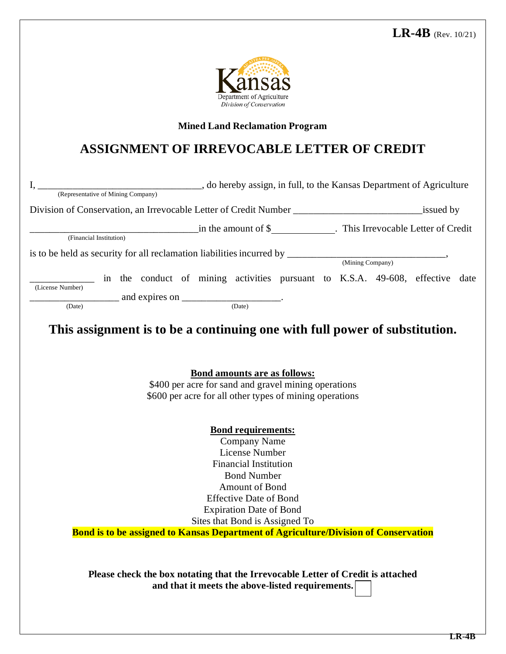

## **Mined Land Reclamation Program**

## **ASSIGNMENT OF IRREVOCABLE LETTER OF CREDIT**

| Division of Conservation, an Irrevocable Letter of Credit Number _______________________________issued by |                                                                                            |  |  |
|-----------------------------------------------------------------------------------------------------------|--------------------------------------------------------------------------------------------|--|--|
|                                                                                                           |                                                                                            |  |  |
| (Financial Institution)                                                                                   |                                                                                            |  |  |
|                                                                                                           |                                                                                            |  |  |
| is to be held as security for all reclamation liabilities incurred by $\frac{1}{(Mining Company)}$ ,      |                                                                                            |  |  |
|                                                                                                           | in the conduct of mining activities pursuant to K.S.A. 49-608, effective date              |  |  |
| (License Number)                                                                                          |                                                                                            |  |  |
| $\frac{\phantom{+}}{\phantom{+}}$ and expires on $\phantom{+}$ (Date)                                     |                                                                                            |  |  |
|                                                                                                           |                                                                                            |  |  |
|                                                                                                           | This assignment is to be a continuing one with full power of substitution.                 |  |  |
|                                                                                                           |                                                                                            |  |  |
|                                                                                                           |                                                                                            |  |  |
|                                                                                                           | <b>Bond amounts are as follows:</b>                                                        |  |  |
|                                                                                                           |                                                                                            |  |  |
|                                                                                                           |                                                                                            |  |  |
|                                                                                                           | \$400 per acre for sand and gravel mining operations                                       |  |  |
|                                                                                                           | \$600 per acre for all other types of mining operations                                    |  |  |
|                                                                                                           |                                                                                            |  |  |
|                                                                                                           | <b>Bond requirements:</b>                                                                  |  |  |
|                                                                                                           | <b>Company Name</b>                                                                        |  |  |
|                                                                                                           | License Number                                                                             |  |  |
|                                                                                                           | <b>Financial Institution</b>                                                               |  |  |
|                                                                                                           | <b>Bond Number</b>                                                                         |  |  |
|                                                                                                           | Amount of Bond                                                                             |  |  |
|                                                                                                           | <b>Effective Date of Bond</b>                                                              |  |  |
|                                                                                                           | <b>Expiration Date of Bond</b>                                                             |  |  |
|                                                                                                           | Sites that Bond is Assigned To                                                             |  |  |
|                                                                                                           | <b>Bond is to be assigned to Kansas Department of Agriculture/Division of Conservation</b> |  |  |
|                                                                                                           |                                                                                            |  |  |
|                                                                                                           |                                                                                            |  |  |
|                                                                                                           | Please check the box notating that the Irrevocable Letter of Credit is attached            |  |  |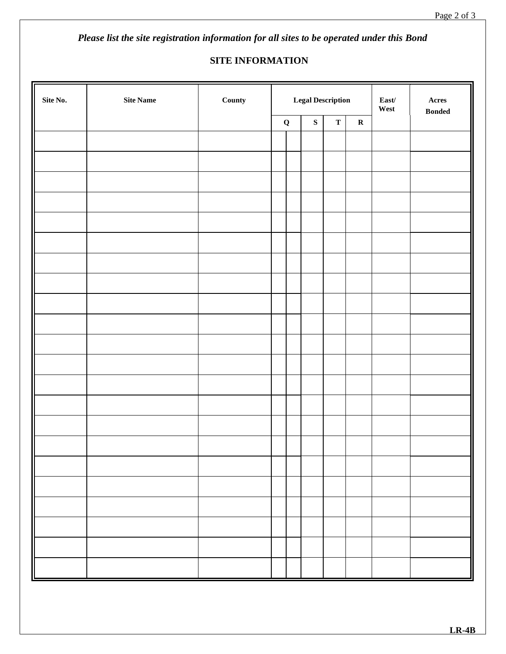*Please list the site registration information for all sites to be operated under this Bond* 

## **SITE INFORMATION**

| $\mathrm{Site}$ No. | $\rm{Site}$ $\rm{Name}$ | County | <b>Legal Description</b> |  |                                         | $\textbf{East}/$<br>West | $\bold{A} \bold{c} \bold{r} \bold{e} \bold{s}$<br>$\boldsymbol{\mathsf{B}}\boldsymbol{\mathsf{onded}}$ |  |
|---------------------|-------------------------|--------|--------------------------|--|-----------------------------------------|--------------------------|--------------------------------------------------------------------------------------------------------|--|
|                     |                         |        | $\mathbf Q$              |  | ${\bf S}$<br>$\mathbf T$<br>$\mathbf R$ |                          |                                                                                                        |  |
|                     |                         |        |                          |  |                                         |                          |                                                                                                        |  |
|                     |                         |        |                          |  |                                         |                          |                                                                                                        |  |
|                     |                         |        |                          |  |                                         |                          |                                                                                                        |  |
|                     |                         |        |                          |  |                                         |                          |                                                                                                        |  |
|                     |                         |        |                          |  |                                         |                          |                                                                                                        |  |
|                     |                         |        |                          |  |                                         |                          |                                                                                                        |  |
|                     |                         |        |                          |  |                                         |                          |                                                                                                        |  |
|                     |                         |        |                          |  |                                         |                          |                                                                                                        |  |
|                     |                         |        |                          |  |                                         |                          |                                                                                                        |  |
|                     |                         |        |                          |  |                                         |                          |                                                                                                        |  |
|                     |                         |        |                          |  |                                         |                          |                                                                                                        |  |
|                     |                         |        |                          |  |                                         |                          |                                                                                                        |  |
|                     |                         |        |                          |  |                                         |                          |                                                                                                        |  |
|                     |                         |        |                          |  |                                         |                          |                                                                                                        |  |
|                     |                         |        |                          |  |                                         |                          |                                                                                                        |  |
|                     |                         |        |                          |  |                                         |                          |                                                                                                        |  |
|                     |                         |        |                          |  |                                         |                          |                                                                                                        |  |
|                     |                         |        |                          |  |                                         |                          |                                                                                                        |  |
|                     |                         |        |                          |  |                                         |                          |                                                                                                        |  |
|                     |                         |        |                          |  |                                         |                          |                                                                                                        |  |
|                     |                         |        |                          |  |                                         |                          |                                                                                                        |  |
|                     |                         |        |                          |  |                                         |                          |                                                                                                        |  |
|                     |                         |        |                          |  |                                         |                          |                                                                                                        |  |
|                     |                         |        |                          |  |                                         |                          |                                                                                                        |  |
|                     |                         |        |                          |  |                                         |                          |                                                                                                        |  |
|                     |                         |        |                          |  |                                         |                          |                                                                                                        |  |